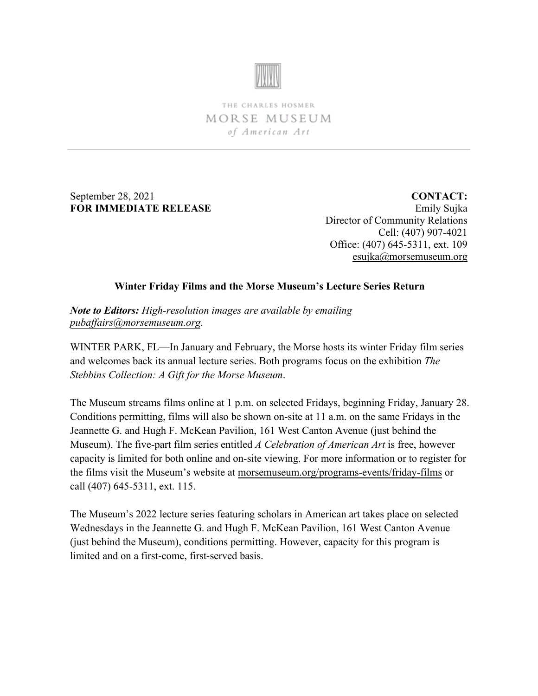

THE CHARLES HOSMER MORSE MUSEUM of American Art

September 28, 2021 **FOR IMMEDIATE RELEASE**

**CONTACT:** Emily Sujka Director of Community Relations Cell: (407) 907-4021 Office: (407) 645-5311, ext. 109 [esujka@morsemuseum.org](mailto:esujka@morsemuseum.org)

## **Winter Friday Films and the Morse Museum's Lecture Series Return**

*Note to Editors: High-resolution images are available by emailing pubaffairs@morsemuseum.org.* 

[WINTER PARK, FL—In Janua](mailto:pubaffairs@morsemuseum.org)ry and February, the Morse hosts its winter Friday film series and welcomes back its annual lecture series. Both programs focus on the exhibition *The Stebbins Collection: A Gift for the Morse Museum*.

The Museum streams films online at 1 p.m. on selected Fridays, beginning Friday, January 28. Conditions permitting, films will also be shown on-site at 11 a.m. on the same Fridays in the Jeannette G. and Hugh F. McKean Pavilion, 161 West Canton Avenue (just behind the Museum). The five-part film series entitled *A Celebration of American Art* is free, however capacity is limited for both online and on-site viewing. For more information or to register for the films visit the Museum's website at [morsemuseum.org/programs-events/friday-films](https://www.morsemuseum.org/programs-events/friday-films) or call (407) 645-5311, ext. 115.

The Museum's 2022 lecture series featuring scholars in American art takes place on selected Wednesdays in the Jeannette G. and Hugh F. McKean Pavilion, 161 West Canton Avenue (just behind the Museum), conditions permitting. However, capacity for this program is limited and on a first-come, first-served basis.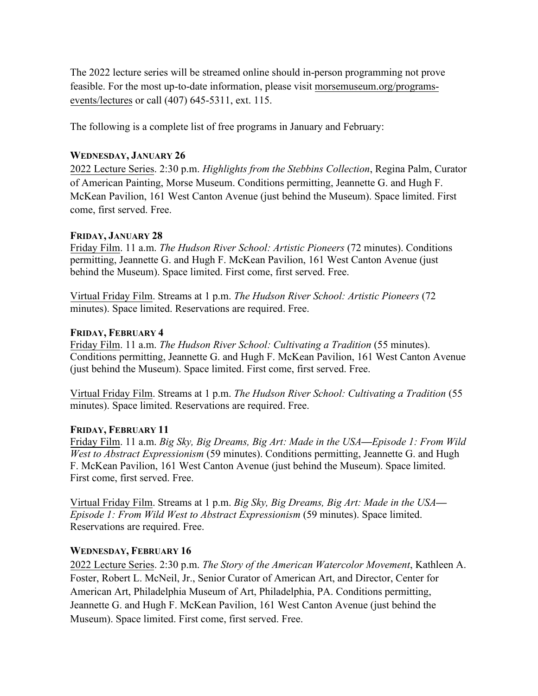The 2022 lecture series will be streamed online should in-person programming not prove feasible. For the most up-to-date information, please visit [morsemuseum.org/programs](https://www.morsemuseum.org/programs-events/lectures)[events/lectures](https://www.morsemuseum.org/programs-events/lectures) or call (407) 645-5311, ext. 115.

The following is a complete list of free programs in January and February:

## **WEDNESDAY, JANUARY 26**

2022 Lecture Series. 2:30 p.m. *Highlights from the Stebbins Collection*, Regina Palm, Curator of American Painting, Morse Museum. Conditions permitting, Jeannette G. and Hugh F. McKean Pavilion, 161 West Canton Avenue (just behind the Museum). Space limited. First come, first served. Free.

## **FRIDAY, JANUARY 28**

Friday Film. 11 a.m. *The Hudson River School: Artistic Pioneers* (72 minutes). Conditions permitting, Jeannette G. and Hugh F. McKean Pavilion, 161 West Canton Avenue (just behind the Museum). Space limited. First come, first served. Free.

Virtual Friday Film. Streams at 1 p.m. *The Hudson River School: Artistic Pioneers* (72 minutes). Space limited. Reservations are required. Free.

## **FRIDAY, FEBRUARY 4**

Friday Film. 11 a.m. *The Hudson River School: Cultivating a Tradition* (55 minutes). Conditions permitting, Jeannette G. and Hugh F. McKean Pavilion, 161 West Canton Avenue (just behind the Museum). Space limited. First come, first served. Free.

Virtual Friday Film. Streams at 1 p.m. *The Hudson River School: Cultivating a Tradition* (55 minutes). Space limited. Reservations are required. Free.

# **FRIDAY, FEBRUARY 11**

Friday Film. 11 a.m. *Big Sky, Big Dreams, Big Art: Made in the USA***—***Episode 1: From Wild West to Abstract Expressionism* (59 minutes). Conditions permitting, Jeannette G. and Hugh F. McKean Pavilion, 161 West Canton Avenue (just behind the Museum). Space limited. First come, first served. Free.

Virtual Friday Film. Streams at 1 p.m. *Big Sky, Big Dreams, Big Art: Made in the USA***—** *Episode 1: From Wild West to Abstract Expressionism* (59 minutes). Space limited. Reservations are required. Free.

# **WEDNESDAY, FEBRUARY 16**

2022 Lecture Series. 2:30 p.m. *The Story of the American Watercolor Movement*, Kathleen A. Foster, Robert L. McNeil, Jr., Senior Curator of American Art, and Director, Center for American Art, Philadelphia Museum of Art, Philadelphia, PA. Conditions permitting, Jeannette G. and Hugh F. McKean Pavilion, 161 West Canton Avenue (just behind the Museum). Space limited. First come, first served. Free.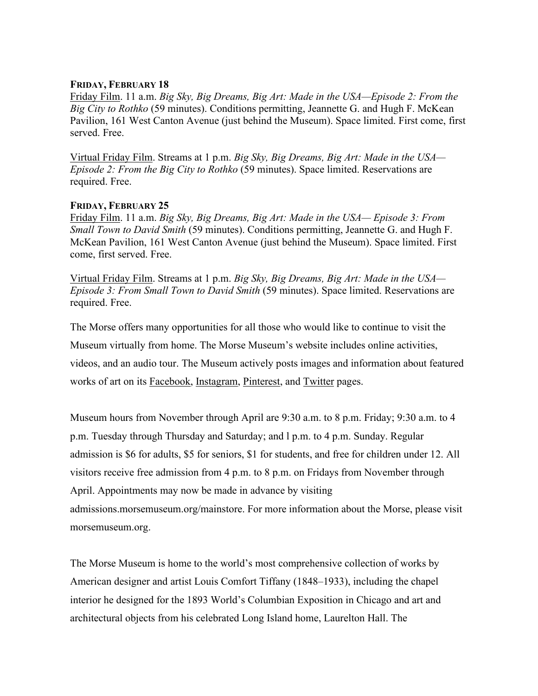#### **FRIDAY, FEBRUARY 18**

Friday Film. 11 a.m. *Big Sky, Big Dreams, Big Art: Made in the USA—Episode 2: From the Big City to Rothko* (59 minutes). Conditions permitting, Jeannette G. and Hugh F. McKean Pavilion, 161 West Canton Avenue (just behind the Museum). Space limited. First come, first served. Free.

Virtual Friday Film. Streams at 1 p.m. *Big Sky, Big Dreams, Big Art: Made in the USA— Episode 2: From the Big City to Rothko* (59 minutes). Space limited. Reservations are required. Free.

#### **FRIDAY, FEBRUARY 25**

Friday Film. 11 a.m. *Big Sky, Big Dreams, Big Art: Made in the USA— Episode 3: From Small Town to David Smith* (59 minutes). Conditions permitting, Jeannette G. and Hugh F. McKean Pavilion, 161 West Canton Avenue (just behind the Museum). Space limited. First come, first served. Free.

Virtual Friday Film. Streams at 1 p.m. *Big Sky, Big Dreams, Big Art: Made in the USA— Episode 3: From Small Town to David Smith* (59 minutes). Space limited. Reservations are required. Free.

The Morse offers many opportunities for all those who would like to continue to visit the Museum virtually from home. The Morse Museum's website includes online activities, videos, and an audio tour. The Museum actively posts images and information about featured works of art on its [Facebook,](https://www.facebook.com/morsemuseum/) [Instagram,](https://www.instagram.com/morsemuseum/) [Pinterest,](https://www.pinterest.com/morsemuseum/) and [Twitter](https://twitter.com/MorseMuseum?ref_src=twsrc%255Egoogle%257Ctwcamp%255Eserp%257Ctwgr%255Eauthor) pages.

Museum hours from November through April are 9:30 a.m. to 8 p.m. Friday; 9:30 a.m. to 4 p.m. Tuesday through Thursday and Saturday; and l p.m. to 4 p.m. Sunday. Regular admission is \$6 for adults, \$5 for seniors, \$1 for students, and free for children under 12. All visitors receive free admission from 4 p.m. to 8 p.m. on Fridays from November through April. Appointments may now be made in advance by visiting admissions.morsemuseum.org/mainstore. For more information about the Morse, please visit morsemuseum.org.

The Morse Museum is home to the world's most comprehensive collection of works by American designer and artist Louis Comfort Tiffany (1848–1933), including the chapel interior he designed for the 1893 World's Columbian Exposition in Chicago and art and architectural objects from his celebrated Long Island home, Laurelton Hall. The